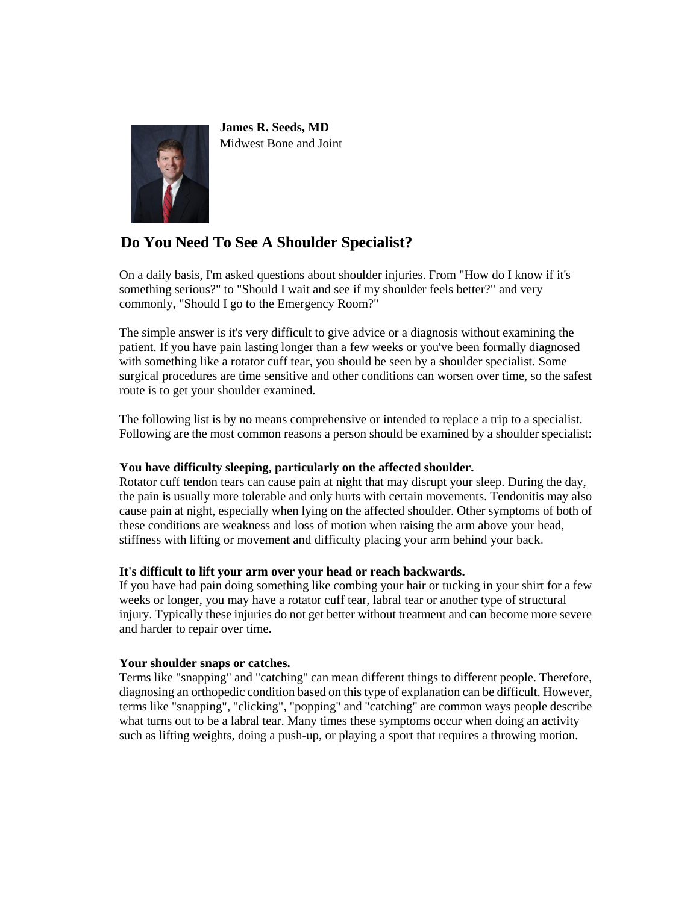

**James R. Seeds, MD** Midwest Bone and Joint

# **Do You Need To See A Shoulder Specialist?**

On a daily basis, I'm asked questions about shoulder injuries. From "How do I know if it's something serious?" to "Should I wait and see if my shoulder feels better?" and very commonly, "Should I go to the Emergency Room?"

The simple answer is it's very difficult to give advice or a diagnosis without examining the patient. If you have pain lasting longer than a few weeks or you've been formally diagnosed with something like a rotator cuff tear, you should be seen by a shoulder specialist. Some surgical procedures are time sensitive and other conditions can worsen over time, so the safest route is to get your shoulder examined.

The following list is by no means comprehensive or intended to replace a trip to a specialist. Following are the most common reasons a person should be examined by a shoulder specialist:

# **You have difficulty sleeping, particularly on the affected shoulder.**

Rotator cuff tendon tears can cause pain at night that may disrupt your sleep. During the day, the pain is usually more tolerable and only hurts with certain movements. Tendonitis may also cause pain at night, especially when lying on the affected shoulder. Other symptoms of both of these conditions are weakness and loss of motion when raising the arm above your head, stiffness with lifting or movement and difficulty placing your arm behind your back.

# **It's difficult to lift your arm over your head or reach backwards.**

If you have had pain doing something like combing your hair or tucking in your shirt for a few weeks or longer, you may have a rotator cuff tear, labral tear or another type of structural injury. Typically these injuries do not get better without treatment and can become more severe and harder to repair over time.

# **Your shoulder snaps or catches.**

Terms like "snapping" and "catching" can mean different things to different people. Therefore, diagnosing an orthopedic condition based on this type of explanation can be difficult. However, terms like "snapping", "clicking", "popping" and "catching" are common ways people describe what turns out to be a labral tear. Many times these symptoms occur when doing an activity such as lifting weights, doing a push-up, or playing a sport that requires a throwing motion.